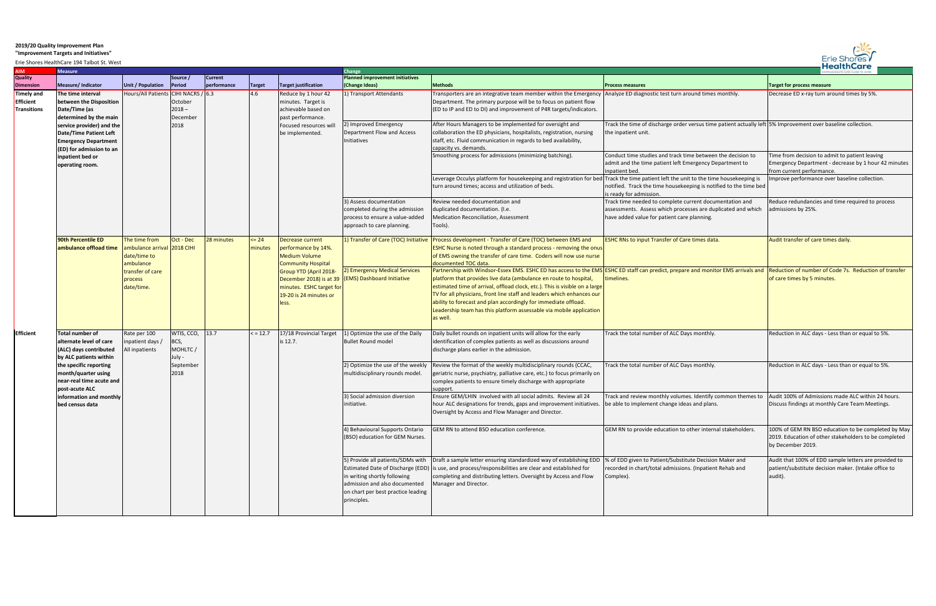## **2019/20 Quality Improvement Plan**

## **"Improvement Targets and Initiatives"**

| <b>HealthCare</b><br>Erie Shores HealthCare 194 Talbot St. West |                                                                                                                                                                                                                                                    |                                                                                                                        |                                                              |                |                   |                                                                                                                                                                                                                  |                                                                                                                                                         |                                                                                                                                                                                                                                                                                                                                                                                                                                                                                                                       |                                                                                                                                                                        |                                                                                                                                     |
|-----------------------------------------------------------------|----------------------------------------------------------------------------------------------------------------------------------------------------------------------------------------------------------------------------------------------------|------------------------------------------------------------------------------------------------------------------------|--------------------------------------------------------------|----------------|-------------------|------------------------------------------------------------------------------------------------------------------------------------------------------------------------------------------------------------------|---------------------------------------------------------------------------------------------------------------------------------------------------------|-----------------------------------------------------------------------------------------------------------------------------------------------------------------------------------------------------------------------------------------------------------------------------------------------------------------------------------------------------------------------------------------------------------------------------------------------------------------------------------------------------------------------|------------------------------------------------------------------------------------------------------------------------------------------------------------------------|-------------------------------------------------------------------------------------------------------------------------------------|
| <b>NIA</b>                                                      | <b>Measure</b>                                                                                                                                                                                                                                     |                                                                                                                        |                                                              |                |                   |                                                                                                                                                                                                                  | Change                                                                                                                                                  |                                                                                                                                                                                                                                                                                                                                                                                                                                                                                                                       |                                                                                                                                                                        |                                                                                                                                     |
| Quality                                                         |                                                                                                                                                                                                                                                    |                                                                                                                        | Source /                                                     | <b>Current</b> |                   |                                                                                                                                                                                                                  | <b>Planned improvement initiatives</b>                                                                                                                  |                                                                                                                                                                                                                                                                                                                                                                                                                                                                                                                       |                                                                                                                                                                        |                                                                                                                                     |
| Dimension                                                       | Measure/Indicator                                                                                                                                                                                                                                  | Unit / Population                                                                                                      | Period                                                       | performance    | <b>Target</b>     | Target justification                                                                                                                                                                                             | (Change Ideas)                                                                                                                                          | <b>Methods</b>                                                                                                                                                                                                                                                                                                                                                                                                                                                                                                        | <b>Process measures</b>                                                                                                                                                | <b>Target for process measure</b>                                                                                                   |
| Timely and<br>Efficient<br>Transitions                          | The time interval<br>between the Disposition<br>Date/Time (as<br>determined by the main                                                                                                                                                            | Hours/All Patients CIHI NACRS / 6.3                                                                                    | October<br>$2018 -$<br>December<br>2018                      |                | 4.6               | Reduce by 1 hour 42<br>minutes. Target is<br>achievable based on<br>past performance.<br>Focused resources will<br>be implemented.                                                                               | 1) Transport Attendants                                                                                                                                 | Transporters are an integrative team member within the Emergency Analyze ED diagnostic test turn around times monthly.<br>Department. The primary purpose will be to focus on patient flow<br>(ED to IP and ED to DI) and improvement of P4R targets/indicators.                                                                                                                                                                                                                                                      |                                                                                                                                                                        | Decrease ED x-ray turn around times by 5%.                                                                                          |
|                                                                 | service provider) and the<br>Date/Time Patient Left<br><b>Emergency Department</b><br>(ED) for admission to an<br>inpatient bed or<br>operating room.                                                                                              |                                                                                                                        |                                                              |                |                   |                                                                                                                                                                                                                  | 2) Improved Emergency<br>Department Flow and Access<br>Initiatives                                                                                      | After Hours Managers to be implemented for oversight and<br>collaboration the ED physicians, hospitalists, registration, nursing<br>staff, etc. Fluid communication in regards to bed availability,<br>capacity vs. demands.                                                                                                                                                                                                                                                                                          | Track the time of discharge order versus time patient actually left 5% Improvement over baseline collection.<br>the inpatient unit.                                    |                                                                                                                                     |
|                                                                 |                                                                                                                                                                                                                                                    |                                                                                                                        |                                                              |                |                   |                                                                                                                                                                                                                  |                                                                                                                                                         | Smoothing process for admissions (minimizing batching).                                                                                                                                                                                                                                                                                                                                                                                                                                                               | Conduct time studies and track time between the decision to<br>admit and the time patient left Emergency Department to<br>inpatient bed.                               | Time from decision to admit to patient leaving<br>Emergency Department - decrease by 1 hour 42 minutes<br>from current performance. |
|                                                                 |                                                                                                                                                                                                                                                    |                                                                                                                        |                                                              |                |                   |                                                                                                                                                                                                                  |                                                                                                                                                         | Leverage Occulys platform for housekeeping and registration for bed Track the time patient left the unit to the time housekeeping is<br>turn around times; access and utilization of beds.                                                                                                                                                                                                                                                                                                                            | notified. Track the time housekeeping is notified to the time bed<br>is ready for admission.                                                                           | Improve performance over baseline collection.                                                                                       |
|                                                                 |                                                                                                                                                                                                                                                    |                                                                                                                        |                                                              |                |                   |                                                                                                                                                                                                                  | 3) Assess documentation<br>completed during the admission<br>process to ensure a value-added<br>approach to care planning.                              | Review needed documentation and<br>duplicated documentation. (I.e.<br>Medication Reconciliation, Assessment<br>Tools).                                                                                                                                                                                                                                                                                                                                                                                                | Track time needed to complete current documentation and<br>assessments. Assess which processes are duplicated and which<br>have added value for patient care planning. | Reduce redundancies and time required to process<br>admissions by 25%.                                                              |
|                                                                 | 90th Percentile ED<br>ambulance offload time                                                                                                                                                                                                       | The time from<br>ambulance arrival 2018 CIHI<br>date/time to<br>ambulance<br>transfer of care<br>process<br>date/time. | Oct - Dec                                                    | 28 minutes     | $= 24$<br>minutes | Decrease current<br>performance by 14%.<br><b>Medium Volume</b><br><b>Community Hospital</b><br>Group YTD (April 2018-<br>December 2018) is at 39<br>minutes. ESHC target for<br>19-20 is 24 minutes or<br>less. | 1) Transfer of Care (TOC) Initiative                                                                                                                    | Process development - Transfer of Care (TOC) between EMS and<br>ESHC Nurse is noted through a standard process - removing the onus<br>of EMS owning the transfer of care time. Coders will now use nurse<br>documented TOC data.                                                                                                                                                                                                                                                                                      | <b>ESHC RNs to input Transfer of Care times data.</b>                                                                                                                  | Audit transfer of care times daily.                                                                                                 |
|                                                                 |                                                                                                                                                                                                                                                    |                                                                                                                        |                                                              |                |                   |                                                                                                                                                                                                                  | 2) Emergency Medical Services<br>(EMS) Dashboard Initiative                                                                                             | Partnership with Windsor-Essex EMS. ESHC ED has access to the EMS ESHC ED staff can predict, prepare and monitor EMS arrivals and<br>platform that provides live data (ambulance en route to hospital,<br>estimated time of arrival, offload clock, etc.). This is visible on a large<br>TV for all physicians, front line staff and leaders which enhances our<br>ability to forecast and plan accordingly for immediate offload.<br>Leadership team has this platform assessable via mobile application<br>as well. | timelines.                                                                                                                                                             | Reduction of number of Code 7s. Reduction of transfer<br>of care times by 5 minutes.                                                |
| <b>Efficient</b>                                                | <b>Total number of</b><br>alternate level of care<br>(ALC) days contributed<br>by ALC patients within<br>the specific reporting<br>month/quarter using<br>near-real time acute and<br>post-acute ALC<br>information and monthly<br>bed census data | Rate per 100<br>inpatient days,<br>All inpatients                                                                      | WTIS, CCO,<br>BCS,<br>MOHLTC/<br>July -<br>September<br>2018 | 13.7           | $\le$ = 12.7      | 17/18 Provincial Target<br>is 12.7.                                                                                                                                                                              | 1) Optimize the use of the Daily<br><b>Bullet Round model</b>                                                                                           | Daily bullet rounds on inpatient units will allow for the early<br>identification of complex patients as well as discussions around<br>discharge plans earlier in the admission.                                                                                                                                                                                                                                                                                                                                      | Track the total number of ALC Days monthly.                                                                                                                            | Reduction in ALC days - Less than or equal to 5%.                                                                                   |
|                                                                 |                                                                                                                                                                                                                                                    |                                                                                                                        |                                                              |                |                   |                                                                                                                                                                                                                  | 2) Optimize the use of the weekly<br>multidisciplinary rounds model.                                                                                    | Review the format of the weekly multidisciplinary rounds (CCAC,<br>geriatric nurse, psychiatry, palliative care, etc.) to focus primarily on<br>complex patients to ensure timely discharge with appropriate<br>upport                                                                                                                                                                                                                                                                                                | Track the total number of ALC Days monthly.                                                                                                                            | Reduction in ALC days - Less than or equal to 5%.                                                                                   |
|                                                                 |                                                                                                                                                                                                                                                    |                                                                                                                        |                                                              |                |                   |                                                                                                                                                                                                                  | 3) Social admission diversion<br>initiative.                                                                                                            | Ensure GEM/LHIN involved with all social admits. Review all 24<br>hour ALC designations for trends, gaps and improvement initiatives.  be able to implement change ideas and plans.<br>Oversight by Access and Flow Manager and Director.                                                                                                                                                                                                                                                                             | Track and review monthly volumes. Identify common themes to   Audit 100% of Admissions made ALC within 24 hours.                                                       | Discuss findings at monthly Care Team Meetings.                                                                                     |
|                                                                 |                                                                                                                                                                                                                                                    |                                                                                                                        |                                                              |                |                   |                                                                                                                                                                                                                  | 4) Behavioural Supports Ontario<br>(BSO) education for GEM Nurses.                                                                                      | GEM RN to attend BSO education conference.                                                                                                                                                                                                                                                                                                                                                                                                                                                                            | GEM RN to provide education to other internal stakeholders.                                                                                                            | 100% of GEM RN BSO education to be completed by May<br>2019. Education of other stakeholders to be completed<br>by December 2019.   |
|                                                                 |                                                                                                                                                                                                                                                    |                                                                                                                        |                                                              |                |                   |                                                                                                                                                                                                                  | 5) Provide all patients/SDMs with<br>in writing shortly following<br>admission and also documented<br>on chart per best practice leading<br>principles. | Draft a sample letter ensuring standardized way of establishing EDD<br>Estimated Date of Discharge (EDD) is use, and process/responsibilities are clear and established for<br>completing and distributing letters. Oversight by Access and Flow<br>Manager and Director.                                                                                                                                                                                                                                             | % of EDD given to Patient/Substitute Decision Maker and<br>recorded in chart/total admissions. (Inpatient Rehab and<br>Complex).                                       | Audit that 100% of EDD sample letters are provided to<br>patient/substitute decision maker. (Intake office to<br>audit).            |